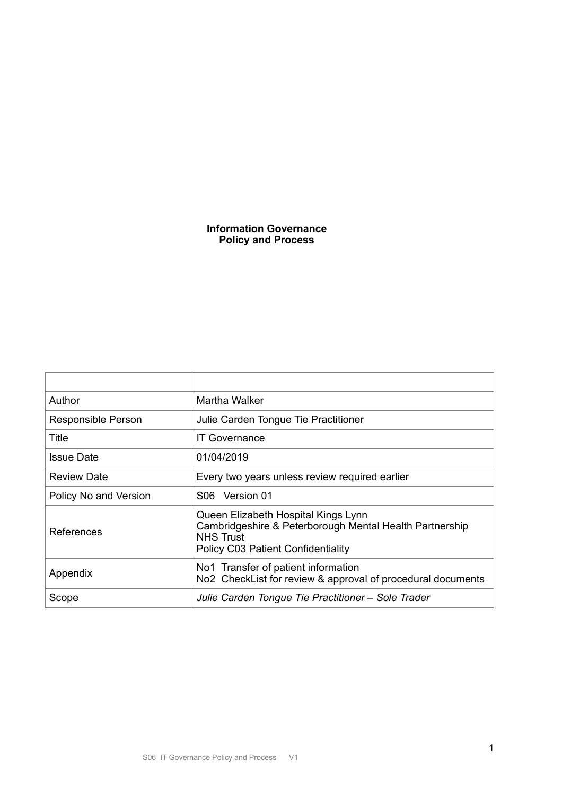# **Information Governance Policy and Process**

| Author                | Martha Walker                                                                                                                                            |  |
|-----------------------|----------------------------------------------------------------------------------------------------------------------------------------------------------|--|
| Responsible Person    | Julie Carden Tongue Tie Practitioner                                                                                                                     |  |
| Title                 | <b>IT Governance</b>                                                                                                                                     |  |
| <b>Issue Date</b>     | 01/04/2019                                                                                                                                               |  |
| <b>Review Date</b>    | Every two years unless review required earlier                                                                                                           |  |
| Policy No and Version | S06 Version 01                                                                                                                                           |  |
| References            | Queen Elizabeth Hospital Kings Lynn<br>Cambridgeshire & Peterborough Mental Health Partnership<br><b>NHS Trust</b><br>Policy C03 Patient Confidentiality |  |
| Appendix              | No1 Transfer of patient information<br>No2 CheckList for review & approval of procedural documents                                                       |  |
| Scope                 | Julie Carden Tongue Tie Practitioner – Sole Trader                                                                                                       |  |
|                       |                                                                                                                                                          |  |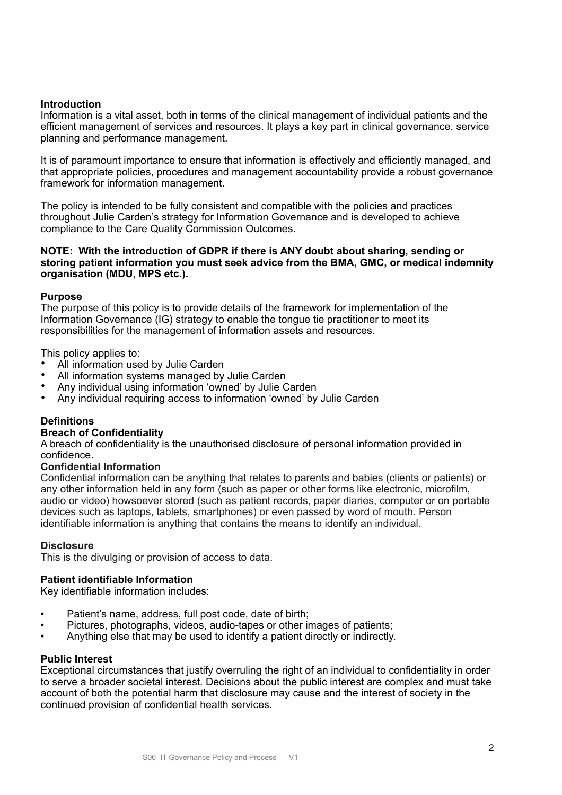## **Introduction**

Information is a vital asset, both in terms of the clinical management of individual patients and the efficient management of services and resources. It plays a key part in clinical governance, service planning and performance management.

It is of paramount importance to ensure that information is effectively and efficiently managed, and that appropriate policies, procedures and management accountability provide a robust governance framework for information management.

The policy is intended to be fully consistent and compatible with the policies and practices throughout Julie Carden's strategy for Information Governance and is developed to achieve compliance to the Care Quality Commission Outcomes.

### **NOTE: With the introduction of GDPR if there is ANY doubt about sharing, sending or storing patient information you must seek advice from the BMA, GMC, or medical indemnity organisation (MDU, MPS etc.).**

## **Purpose**

The purpose of this policy is to provide details of the framework for implementation of the Information Governance (IG) strategy to enable the tongue tie practitioner to meet its responsibilities for the management of information assets and resources.

This policy applies to:

- All information used by Julie Carden
- All information systems managed by Julie Carden<br>• Any individual using information 'owned' by Julie C
- Any individual using information 'owned' by Julie Carden<br>• Any individual requiring access to information 'owned' by
- Any individual requiring access to information 'owned' by Julie Carden

## **Definitions**

### **Breach of Confidentiality**

A breach of confidentiality is the unauthorised disclosure of personal information provided in confidence.

### **Confidential Information**

Confidential information can be anything that relates to parents and babies (clients or patients) or any other information held in any form (such as paper or other forms like electronic, microfilm, audio or video) howsoever stored (such as patient records, paper diaries, computer or on portable devices such as laptops, tablets, smartphones) or even passed by word of mouth. Person identifiable information is anything that contains the means to identify an individual.

### **Disclosure**

This is the divulging or provision of access to data.

### **Patient identifiable Information**

Key identifiable information includes:

- Patient's name, address, full post code, date of birth;
- Pictures, photographs, videos, audio-tapes or other images of patients;
- Anything else that may be used to identify a patient directly or indirectly.

### **Public Interest**

Exceptional circumstances that justify overruling the right of an individual to confidentiality in order to serve a broader societal interest. Decisions about the public interest are complex and must take account of both the potential harm that disclosure may cause and the interest of society in the continued provision of confidential health services.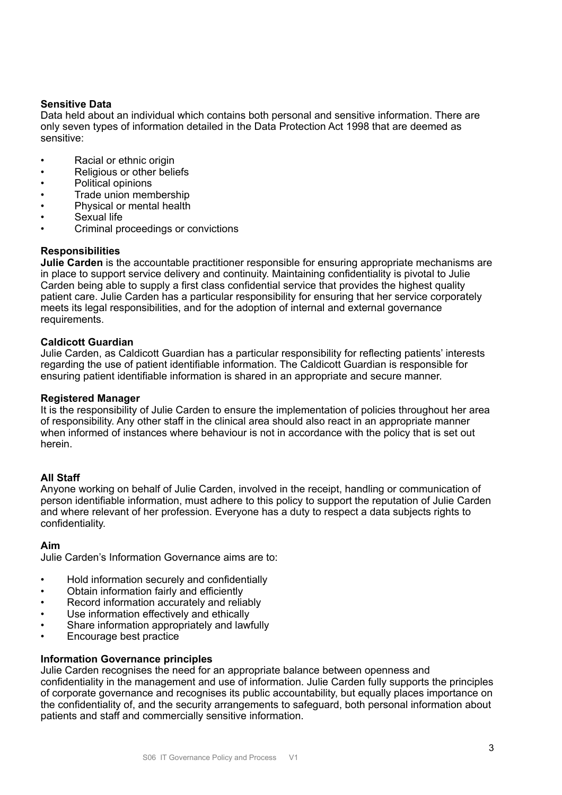## **Sensitive Data**

Data held about an individual which contains both personal and sensitive information. There are only seven types of information detailed in the Data Protection Act 1998 that are deemed as sensitive:

- Racial or ethnic origin
- Religious or other beliefs
- Political opinions
- Trade union membership
- Physical or mental health
- Sexual life
- Criminal proceedings or convictions

### **Responsibilities**

**Julie Carden** is the accountable practitioner responsible for ensuring appropriate mechanisms are in place to support service delivery and continuity. Maintaining confidentiality is pivotal to Julie Carden being able to supply a first class confidential service that provides the highest quality patient care. Julie Carden has a particular responsibility for ensuring that her service corporately meets its legal responsibilities, and for the adoption of internal and external governance requirements.

## **Caldicott Guardian**

Julie Carden, as Caldicott Guardian has a particular responsibility for reflecting patients' interests regarding the use of patient identifiable information. The Caldicott Guardian is responsible for ensuring patient identifiable information is shared in an appropriate and secure manner.

### **Registered Manager**

It is the responsibility of Julie Carden to ensure the implementation of policies throughout her area of responsibility. Any other staff in the clinical area should also react in an appropriate manner when informed of instances where behaviour is not in accordance with the policy that is set out herein.

## **All Staff**

Anyone working on behalf of Julie Carden, involved in the receipt, handling or communication of person identifiable information, must adhere to this policy to support the reputation of Julie Carden and where relevant of her profession. Everyone has a duty to respect a data subjects rights to confidentiality.

### **Aim**

Julie Carden's Information Governance aims are to:

- Hold information securely and confidentially
- Obtain information fairly and efficiently
- Record information accurately and reliably
- Use information effectively and ethically
- Share information appropriately and lawfully
- Encourage best practice

### **Information Governance principles**

Julie Carden recognises the need for an appropriate balance between openness and confidentiality in the management and use of information. Julie Carden fully supports the principles of corporate governance and recognises its public accountability, but equally places importance on the confidentiality of, and the security arrangements to safeguard, both personal information about patients and staff and commercially sensitive information.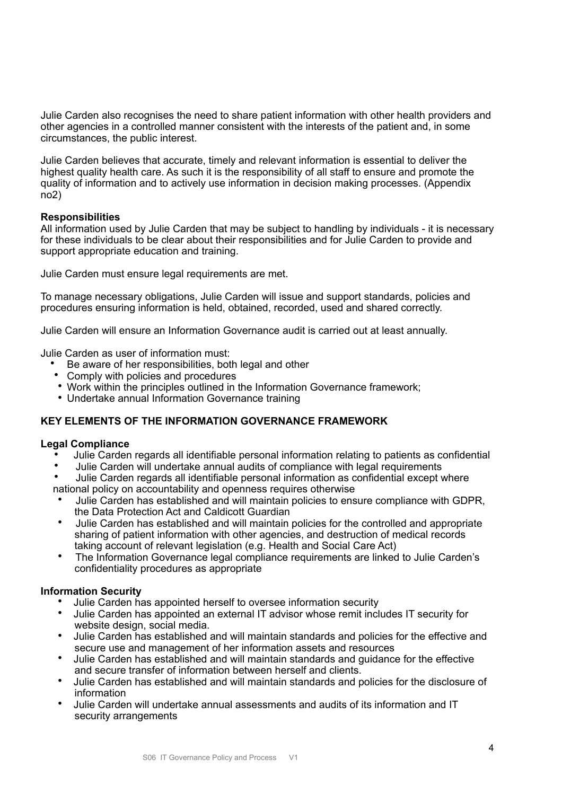Julie Carden also recognises the need to share patient information with other health providers and other agencies in a controlled manner consistent with the interests of the patient and, in some circumstances, the public interest.

Julie Carden believes that accurate, timely and relevant information is essential to deliver the highest quality health care. As such it is the responsibility of all staff to ensure and promote the quality of information and to actively use information in decision making processes. (Appendix no2)

## **Responsibilities**

All information used by Julie Carden that may be subject to handling by individuals - it is necessary for these individuals to be clear about their responsibilities and for Julie Carden to provide and support appropriate education and training.

Julie Carden must ensure legal requirements are met.

To manage necessary obligations, Julie Carden will issue and support standards, policies and procedures ensuring information is held, obtained, recorded, used and shared correctly.

Julie Carden will ensure an Information Governance audit is carried out at least annually.

Julie Carden as user of information must:

- Be aware of her responsibilities, both legal and other
- Comply with policies and procedures
- Work within the principles outlined in the Information Governance framework;
- Undertake annual Information Governance training

## **KEY ELEMENTS OF THE INFORMATION GOVERNANCE FRAMEWORK**

### **Legal Compliance**

- Julie Carden regards all identifiable personal information relating to patients as confidential
- Julie Carden will undertake annual audits of compliance with legal requirements
- Julie Carden regards all identifiable personal information as confidential except where national policy on accountability and openness requires otherwise
- Julie Carden has established and will maintain policies to ensure compliance with GDPR, the Data Protection Act and Caldicott Guardian
- Julie Carden has established and will maintain policies for the controlled and appropriate sharing of patient information with other agencies, and destruction of medical records taking account of relevant legislation (e.g. Health and Social Care Act)
- The Information Governance legal compliance requirements are linked to Julie Carden's confidentiality procedures as appropriate

### **Information Security**

- Julie Carden has appointed herself to oversee information security
- Julie Carden has appointed an external IT advisor whose remit includes IT security for website design, social media.
- Julie Carden has established and will maintain standards and policies for the effective and secure use and management of her information assets and resources
- Julie Carden has established and will maintain standards and guidance for the effective and secure transfer of information between herself and clients.
- Julie Carden has established and will maintain standards and policies for the disclosure of information
- Julie Carden will undertake annual assessments and audits of its information and IT security arrangements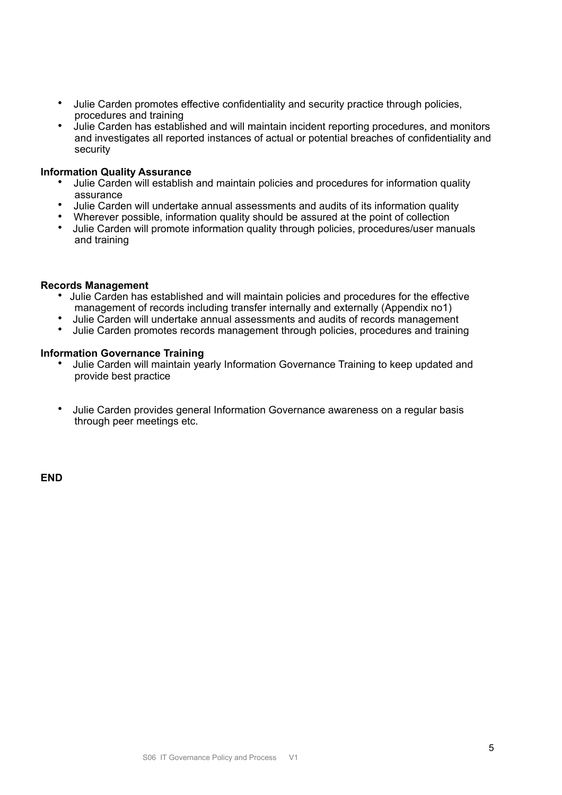- Julie Carden promotes effective confidentiality and security practice through policies, procedures and training
- Julie Carden has established and will maintain incident reporting procedures, and monitors and investigates all reported instances of actual or potential breaches of confidentiality and security

### **Information Quality Assurance**

- Julie Carden will establish and maintain policies and procedures for information quality assurance
- Julie Carden will undertake annual assessments and audits of its information quality<br>• Wherever possible, information quality should be assured at the point of collection
- Wherever possible, information quality should be assured at the point of collection<br>• Julie Carden will promote information quality through policies, procedures/user mai
- Julie Carden will promote information quality through policies, procedures/user manuals and training

### **Records Management**

- Julie Carden has established and will maintain policies and procedures for the effective management of records including transfer internally and externally (Appendix no1)
- Julie Carden will undertake annual assessments and audits of records management<br>• Julie Carden promotes records management through policies, procedures and training
- Julie Carden promotes records management through policies, procedures and training

#### **Information Governance Training**

- Julie Carden will maintain yearly Information Governance Training to keep updated and provide best practice
- Julie Carden provides general Information Governance awareness on a regular basis through peer meetings etc.

**END**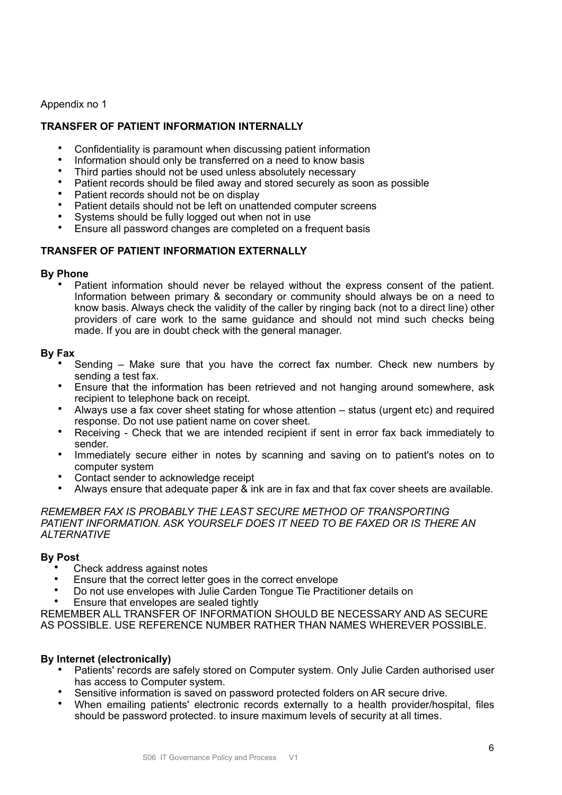Appendix no 1

# **TRANSFER OF PATIENT INFORMATION INTERNALLY**

- Confidentiality is paramount when discussing patient information
- Information should only be transferred on a need to know basis
- Third parties should not be used unless absolutely necessary
- Patient records should be filed away and stored securely as soon as possible
- Patient records should not be on display
- Patient details should not be left on unattended computer screens
- Systems should be fully logged out when not in use
- Ensure all password changes are completed on a frequent basis

## **TRANSFER OF PATIENT INFORMATION EXTERNALLY**

### **By Phone**

• Patient information should never be relayed without the express consent of the patient. Information between primary & secondary or community should always be on a need to know basis. Always check the validity of the caller by ringing back (not to a direct line) other providers of care work to the same guidance and should not mind such checks being made. If you are in doubt check with the general manager.

### **By Fax**

- Sending Make sure that you have the correct fax number. Check new numbers by sending a test fax.
- Ensure that the information has been retrieved and not hanging around somewhere, ask recipient to telephone back on receipt.
- Always use a fax cover sheet stating for whose attention status (urgent etc) and required response. Do not use patient name on cover sheet.
- Receiving Check that we are intended recipient if sent in error fax back immediately to sender.
- Immediately secure either in notes by scanning and saving on to patient's notes on to computer system
- Contact sender to acknowledge receipt
- Always ensure that adequate paper & ink are in fax and that fax cover sheets are available.

*REMEMBER FAX IS PROBABLY THE LEAST SECURE METHOD OF TRANSPORTING PATIENT INFORMATION. ASK YOURSELF DOES IT NEED TO BE FAXED OR IS THERE AN ALTERNATIVE* 

### **By Post**

- Check address against notes
- Ensure that the correct letter goes in the correct envelope
- Do not use envelopes with Julie Carden Tongue Tie Practitioner details on
- Ensure that envelopes are sealed tightly

REMEMBER ALL TRANSFER OF INFORMATION SHOULD BE NECESSARY AND AS SECURE AS POSSIBLE. USE REFERENCE NUMBER RATHER THAN NAMES WHEREVER POSSIBLE.

## **By Internet (electronically)**

- Patients' records are safely stored on Computer system. Only Julie Carden authorised user has access to Computer system.
- Sensitive information is saved on password protected folders on AR secure drive.
- When emailing patients' electronic records externally to a health provider/hospital, files should be password protected. to insure maximum levels of security at all times.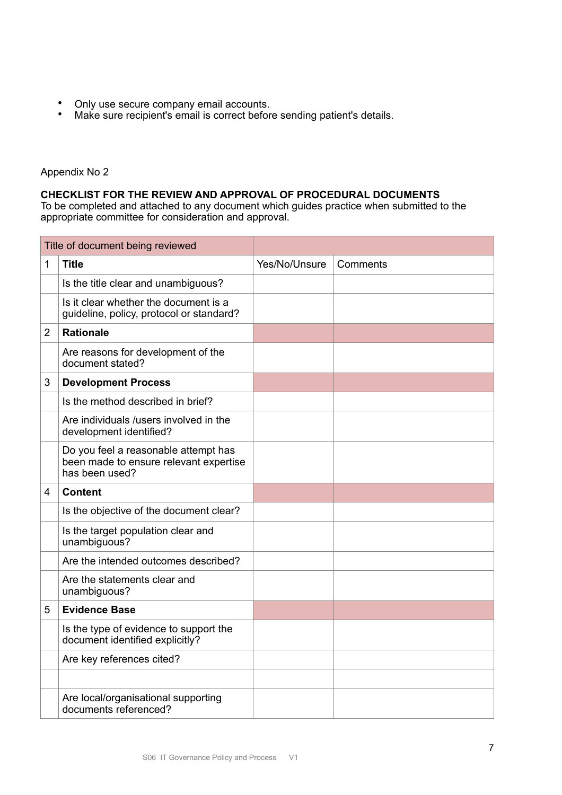- Only use secure company email accounts.
- Make sure recipient's email is correct before sending patient's details.

## Appendix No 2

## **CHECKLIST FOR THE REVIEW AND APPROVAL OF PROCEDURAL DOCUMENTS**

To be completed and attached to any document which guides practice when submitted to the appropriate committee for consideration and approval.

| Title of document being reviewed |                                                                                                  |               |          |
|----------------------------------|--------------------------------------------------------------------------------------------------|---------------|----------|
| 1                                | <b>Title</b>                                                                                     | Yes/No/Unsure | Comments |
|                                  | Is the title clear and unambiguous?                                                              |               |          |
|                                  | Is it clear whether the document is a<br>guideline, policy, protocol or standard?                |               |          |
| $\overline{2}$                   | <b>Rationale</b>                                                                                 |               |          |
|                                  | Are reasons for development of the<br>document stated?                                           |               |          |
| 3                                | <b>Development Process</b>                                                                       |               |          |
|                                  | Is the method described in brief?                                                                |               |          |
|                                  | Are individuals /users involved in the<br>development identified?                                |               |          |
|                                  | Do you feel a reasonable attempt has<br>been made to ensure relevant expertise<br>has been used? |               |          |
| 4                                | <b>Content</b>                                                                                   |               |          |
|                                  | Is the objective of the document clear?                                                          |               |          |
|                                  | Is the target population clear and<br>unambiguous?                                               |               |          |
|                                  | Are the intended outcomes described?                                                             |               |          |
|                                  | Are the statements clear and<br>unambiguous?                                                     |               |          |
| 5                                | <b>Evidence Base</b>                                                                             |               |          |
|                                  | Is the type of evidence to support the<br>document identified explicitly?                        |               |          |
|                                  | Are key references cited?                                                                        |               |          |
|                                  |                                                                                                  |               |          |
|                                  | Are local/organisational supporting<br>documents referenced?                                     |               |          |